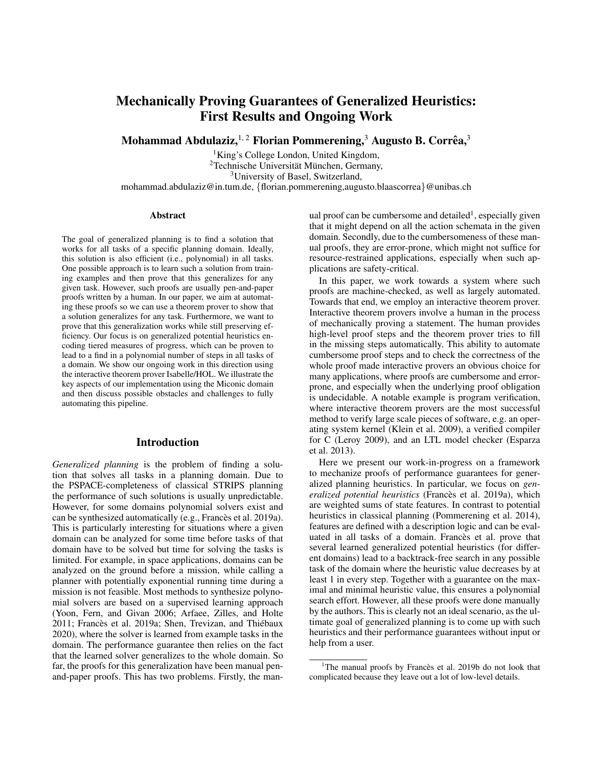# Mechanically Proving Guarantees of Generalized Heuristics: First Results and Ongoing Work

Mohammad Abdulaziz, $^{1,\,2}$  Florian Pommerening, $^3$  Augusto B. Corrêa, $^3$ 

<sup>1</sup>King's College London, United Kingdom, <sup>2</sup>Technische Universität München, Germany, <sup>3</sup>University of Basel, Switzerland, mohammad.abdulaziz@in.tum.de, {florian.pommerening,augusto.blaascorrea}@unibas.ch

#### Abstract

The goal of generalized planning is to find a solution that works for all tasks of a specific planning domain. Ideally, this solution is also efficient (i.e., polynomial) in all tasks. One possible approach is to learn such a solution from training examples and then prove that this generalizes for any given task. However, such proofs are usually pen-and-paper proofs written by a human. In our paper, we aim at automating these proofs so we can use a theorem prover to show that a solution generalizes for any task. Furthermore, we want to prove that this generalization works while still preserving efficiency. Our focus is on generalized potential heuristics encoding tiered measures of progress, which can be proven to lead to a find in a polynomial number of steps in all tasks of a domain. We show our ongoing work in this direction using the interactive theorem prover Isabelle/HOL. We illustrate the key aspects of our implementation using the Miconic domain and then discuss possible obstacles and challenges to fully automating this pipeline.

#### Introduction

*Generalized planning* is the problem of finding a solution that solves all tasks in a planning domain. Due to the PSPACE-completeness of classical STRIPS planning the performance of such solutions is usually unpredictable. However, for some domains polynomial solvers exist and can be synthesized automatically (e.g., Francès et al. 2019a). This is particularly interesting for situations where a given domain can be analyzed for some time before tasks of that domain have to be solved but time for solving the tasks is limited. For example, in space applications, domains can be analyzed on the ground before a mission, while calling a planner with potentially exponential running time during a mission is not feasible. Most methods to synthesize polynomial solvers are based on a supervised learning approach (Yoon, Fern, and Givan 2006; Arfaee, Zilles, and Holte 2011; Francès et al. 2019a; Shen, Trevizan, and Thiébaux 2020), where the solver is learned from example tasks in the domain. The performance guarantee then relies on the fact that the learned solver generalizes to the whole domain. So far, the proofs for this generalization have been manual penand-paper proofs. This has two problems. Firstly, the man-

ual proof can be cumbersome and detailed<sup>1</sup>, especially given that it might depend on all the action schemata in the given domain. Secondly, due to the cumbersomeness of these manual proofs, they are error-prone, which might not suffice for resource-restrained applications, especially when such applications are safety-critical.

In this paper, we work towards a system where such proofs are machine-checked, as well as largely automated. Towards that end, we employ an interactive theorem prover. Interactive theorem provers involve a human in the process of mechanically proving a statement. The human provides high-level proof steps and the theorem prover tries to fill in the missing steps automatically. This ability to automate cumbersome proof steps and to check the correctness of the whole proof made interactive provers an obvious choice for many applications, where proofs are cumbersome and errorprone, and especially when the underlying proof obligation is undecidable. A notable example is program verification, where interactive theorem provers are the most successful method to verify large scale pieces of software, e.g. an operating system kernel (Klein et al. 2009), a verified compiler for C (Leroy 2009), and an LTL model checker (Esparza et al. 2013).

Here we present our work-in-progress on a framework to mechanize proofs of performance guarantees for generalized planning heuristics. In particular, we focus on *generalized potential heuristics* (Francès et al. 2019a), which are weighted sums of state features. In contrast to potential heuristics in classical planning (Pommerening et al. 2014), features are defined with a description logic and can be evaluated in all tasks of a domain. Francès et al. prove that several learned generalized potential heuristics (for different domains) lead to a backtrack-free search in any possible task of the domain where the heuristic value decreases by at least 1 in every step. Together with a guarantee on the maximal and minimal heuristic value, this ensures a polynomial search effort. However, all these proofs were done manually by the authors. This is clearly not an ideal scenario, as the ultimate goal of generalized planning is to come up with such heuristics and their performance guarantees without input or help from a user.

<sup>&</sup>lt;sup>1</sup>The manual proofs by Francès et al. 2019b do not look that complicated because they leave out a lot of low-level details.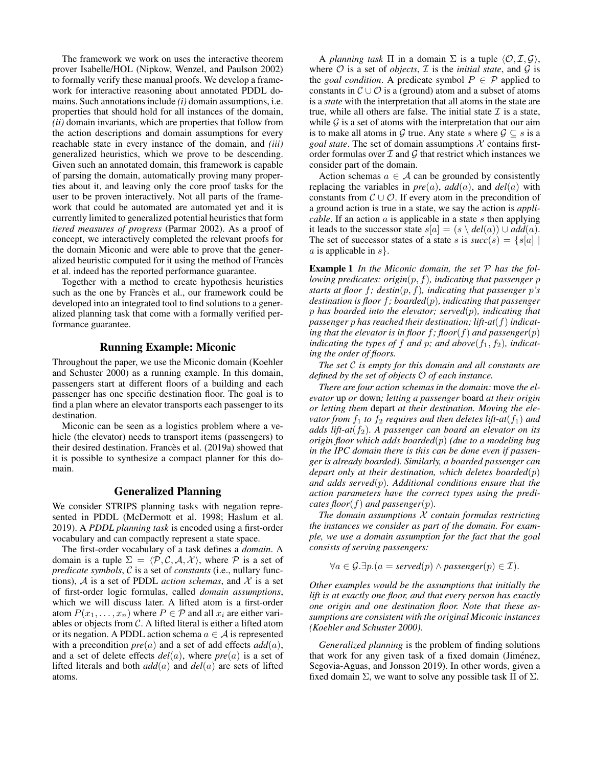The framework we work on uses the interactive theorem prover Isabelle/HOL (Nipkow, Wenzel, and Paulson 2002) to formally verify these manual proofs. We develop a framework for interactive reasoning about annotated PDDL domains. Such annotations include *(i)* domain assumptions, i.e. properties that should hold for all instances of the domain, *(ii)* domain invariants, which are properties that follow from the action descriptions and domain assumptions for every reachable state in every instance of the domain, and *(iii)* generalized heuristics, which we prove to be descending. Given such an annotated domain, this framework is capable of parsing the domain, automatically proving many properties about it, and leaving only the core proof tasks for the user to be proven interactively. Not all parts of the framework that could be automated are automated yet and it is currently limited to generalized potential heuristics that form *tiered measures of progress* (Parmar 2002). As a proof of concept, we interactively completed the relevant proofs for the domain Miconic and were able to prove that the generalized heuristic computed for it using the method of Francès et al. indeed has the reported performance guarantee.

Together with a method to create hypothesis heuristics such as the one by Francès et al., our framework could be developed into an integrated tool to find solutions to a generalized planning task that come with a formally verified performance guarantee.

#### Running Example: Miconic

Throughout the paper, we use the Miconic domain (Koehler and Schuster 2000) as a running example. In this domain, passengers start at different floors of a building and each passenger has one specific destination floor. The goal is to find a plan where an elevator transports each passenger to its destination.

Miconic can be seen as a logistics problem where a vehicle (the elevator) needs to transport items (passengers) to their desired destination. Francès et al. (2019a) showed that it is possible to synthesize a compact planner for this domain.

### Generalized Planning

We consider STRIPS planning tasks with negation represented in PDDL (McDermott et al. 1998; Haslum et al. 2019). A *PDDL planning task* is encoded using a first-order vocabulary and can compactly represent a state space.

The first-order vocabulary of a task defines a *domain*. A domain is a tuple  $\Sigma = \langle \mathcal{P}, \mathcal{C}, \mathcal{A}, \mathcal{X} \rangle$ , where P is a set of *predicate symbols*, C is a set of *constants* (i.e., nullary functions),  $A$  is a set of PDDL *action schemas*, and  $X$  is a set of first-order logic formulas, called *domain assumptions*, which we will discuss later. A lifted atom is a first-order atom  $P(x_1, \ldots, x_n)$  where  $P \in \mathcal{P}$  and all  $x_i$  are either variables or objects from  $C$ . A lifted literal is either a lifted atom or its negation. A PDDL action schema  $a \in A$  is represented with a precondition *pre*(a) and a set of add effects *add*(a), and a set of delete effects  $del(a)$ , where  $pre(a)$  is a set of lifted literals and both *add*(a) and *del*(a) are sets of lifted atoms.

A *planning task*  $\Pi$  in a domain  $\Sigma$  is a tuple  $\langle \mathcal{O}, \mathcal{I}, \mathcal{G} \rangle$ , where  $O$  is a set of *objects*,  $I$  is the *initial state*, and  $G$  is the *goal condition*. A predicate symbol  $P \in \mathcal{P}$  applied to constants in  $\mathcal{C} \cup \mathcal{O}$  is a (ground) atom and a subset of atoms is a *state* with the interpretation that all atoms in the state are true, while all others are false. The initial state  $\mathcal I$  is a state, while  $\mathcal G$  is a set of atoms with the interpretation that our aim is to make all atoms in G true. Any state s where  $\mathcal{G} \subseteq s$  is a *goal state*. The set of domain assumptions  $X$  contains firstorder formulas over  $\mathcal I$  and  $\mathcal G$  that restrict which instances we consider part of the domain.

Action schemas  $a \in \mathcal{A}$  can be grounded by consistently replacing the variables in  $pre(a)$ ,  $add(a)$ , and  $del(a)$  with constants from  $\mathcal{C} \cup \mathcal{O}$ . If every atom in the precondition of a ground action is true in a state, we say the action is *applicable*. If an action  $\alpha$  is applicable in a state  $s$  then applying it leads to the successor state  $s[a] = (s \setminus \text{del}(a)) \cup \text{add}(a)$ . The set of successor states of a state s is  $succ(s) = \{s[a] | s[a] \}$ a is applicable in  $s$ .

Example 1 *In the Miconic domain, the set* P *has the following predicates: origin*(p, f)*, indicating that passenger* p *starts at floor*  $f$ *; destin* $(p, f)$ *, indicating that passenger*  $p$ *'s destination is floor* f*; boarded*(p)*, indicating that passenger* p *has boarded into the elevator; served*(p)*, indicating that passenger* p *has reached their destination; lift-at*(f) *indicating that the elevator is in floor*  $f$ *; floor* $(f)$  *and passenger* $(p)$ *indicating the types of*  $f$  *and*  $p$ *; and above*( $f_1, f_2$ )*, indicating the order of floors.*

*The set* C *is empty for this domain and all constants are defined by the set of objects* O *of each instance.*

*There are four action schemas in the domain:* move *the elevator* up *or* down*; letting a passenger* board *at their origin or letting them* depart *at their destination. Moving the elevator from*  $f_1$  *to*  $f_2$  *requires and then deletes lift-at* $(f_1)$  *and adds lift-at*( $f_2$ ). A passenger can board an elevator on its *origin floor which adds boarded*(p) *(due to a modeling bug in the IPC domain there is this can be done even if passenger is already boarded). Similarly, a boarded passenger can depart only at their destination, which deletes boarded*(p) *and adds served*(p)*. Additional conditions ensure that the action parameters have the correct types using the predicates floor* $(f)$  *and passenger* $(p)$ *.* 

*The domain assumptions* X *contain formulas restricting the instances we consider as part of the domain. For example, we use a domain assumption for the fact that the goal consists of serving passengers:*

$$
\forall a \in \mathcal{G}.\exists p.(a = served(p) \land passenger(p) \in \mathcal{I}).
$$

*Other examples would be the assumptions that initially the lift is at exactly one floor, and that every person has exactly one origin and one destination floor. Note that these assumptions are consistent with the original Miconic instances (Koehler and Schuster 2000).*

*Generalized planning* is the problem of finding solutions that work for any given task of a fixed domain (Jiménez, Segovia-Aguas, and Jonsson 2019). In other words, given a fixed domain  $\Sigma$ , we want to solve any possible task  $\Pi$  of  $\Sigma$ .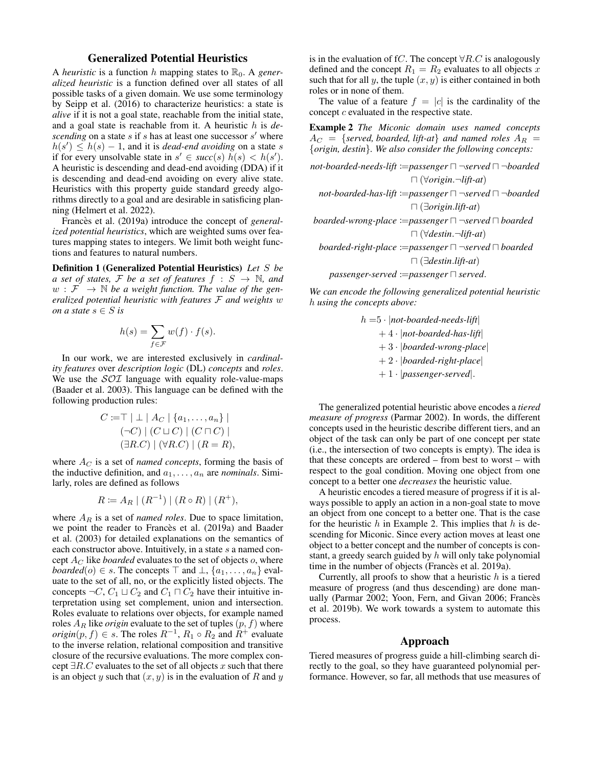### Generalized Potential Heuristics

A *heuristic* is a function h mapping states to  $\mathbb{R}_0$ . A *generalized heuristic* is a function defined over all states of all possible tasks of a given domain. We use some terminology by Seipp et al. (2016) to characterize heuristics: a state is *alive* if it is not a goal state, reachable from the initial state, and a goal state is reachable from it. A heuristic h is *de*scending on a state  $s$  if  $s$  has at least one successor  $s'$  where  $h(s') \leq h(s) - 1$ , and it is *dead-end avoiding* on a state s if for every unsolvable state in  $s' \in succ(s)$   $h(s) < h(s')$ . A heuristic is descending and dead-end avoiding (DDA) if it is descending and dead-end avoiding on every alive state. Heuristics with this property guide standard greedy algorithms directly to a goal and are desirable in satisficing planning (Helmert et al. 2022).

Francès et al. (2019a) introduce the concept of *generalized potential heuristics*, which are weighted sums over features mapping states to integers. We limit both weight functions and features to natural numbers.

Definition 1 (Generalized Potential Heuristics) *Let* S *be a set of states,* F *be a set of features*  $f : S \rightarrow \mathbb{N}$ *, and*  $w : \mathcal{F} \to \mathbb{N}$  *be a weight function. The value of the generalized potential heuristic with features* F *and weights* w *on a state*  $s \in S$  *is* 

$$
h(s) = \sum_{f \in \mathcal{F}} w(f) \cdot f(s).
$$

In our work, we are interested exclusively in *cardinality features* over *description logic* (DL) *concepts* and *roles*. We use the  $SOT$  language with equality role-value-maps (Baader et al. 2003). This language can be defined with the following production rules:

$$
C := \top | \perp | A_C | \{a_1, \dots, a_n\} |
$$
  

$$
(\neg C) | (C \sqcup C) | (C \sqcap C) |
$$
  

$$
(\exists R.C) | (\forall R.C) | (R = R),
$$

where  $A_C$  is a set of *named concepts*, forming the basis of the inductive definition, and  $a_1, \ldots, a_n$  are *nominals*. Similarly, roles are defined as follows

$$
R := A_R | (R^{-1}) | (R \circ R) | (R^+),
$$

where  $A_R$  is a set of *named roles*. Due to space limitation, we point the reader to Francès et al. (2019a) and Baader et al. (2003) for detailed explanations on the semantics of each constructor above. Intuitively, in a state s a named concept  $A_C$  like *boarded* evaluates to the set of objects o, where *boarded*( $o$ )  $\in$  *s*. The concepts  $\top$  and  $\bot$ ,  $\{a_1, \ldots, a_n\}$  evaluate to the set of all, no, or the explicitly listed objects. The concepts  $\neg C$ ,  $C_1 \sqcup C_2$  and  $C_1 \sqcap C_2$  have their intuitive interpretation using set complement, union and intersection. Roles evaluate to relations over objects, for example named roles  $A_R$  like  $origin$  evaluate to the set of tuples  $(p,f)$  where *origin* $(p, f) \in s$ . The roles  $R^{-1}$ ,  $R_1 \circ R_2$  and  $R^+$  evaluate to the inverse relation, relational composition and transitive closure of the recursive evaluations. The more complex concept  $\exists R.C$  evaluates to the set of all objects x such that there is an object y such that  $(x, y)$  is in the evaluation of R and y

is in the evaluation of fC. The concept  $\forall R.C$  is analogously defined and the concept  $R_1 = R_2$  evaluates to all objects x such that for all  $y$ , the tuple  $(x, y)$  is either contained in both roles or in none of them.

The value of a feature  $f = |c|$  is the cardinality of the concept  $c$  evaluated in the respective state.

Example 2 *The Miconic domain uses named concepts*  $A_C = \{served, \, bounded, \, lift-at\}$  and named roles  $A_R =$ {*origin, destin*}*. We also consider the following concepts:*

not-bøarded-needs-lift :=passenger 
$$
\sqcap
$$
¬served  $\sqcap$  ¬boarded  
\n $\sqcap$  (∀origin.¬lift-at)  
\nnot-bøarded-has-lift :=passenger  $\sqcap$ ¬served  $\sqcap$  ¬boarded  
\n $\sqcap$  (∃origin.lift-at)  
\nboarded-wrong-place :=passenger  $\sqcap$ ¬served  $\sqcap$  boarded  
\n $\sqcap$  (∀destin.¬lift-at)

*boarded-right-place* :=*passenger*  $\Box$  ¬*served*  $\Box$  *boarded* u (∃*destin*.*lift-at*)

 $passenger-served :=passenger \sqcap served$ .

*We can encode the following generalized potential heuristic* h *using the concepts above:*

$$
h = 5 \cdot |not-boarded-need-s-lift|
$$
  
+ 4 \cdot |not-boarded-has-lift|  
+ 3 \cdot |boarded-wrong-place|  
+ 2 \cdot |boarded-right-place|  
+ 1 \cdot |passenger-servered|.

The generalized potential heuristic above encodes a *tiered measure of progress* (Parmar 2002). In words, the different concepts used in the heuristic describe different tiers, and an object of the task can only be part of one concept per state (i.e., the intersection of two concepts is empty). The idea is that these concepts are ordered – from best to worst – with respect to the goal condition. Moving one object from one concept to a better one *decreases* the heuristic value.

A heuristic encodes a tiered measure of progress if it is always possible to apply an action in a non-goal state to move an object from one concept to a better one. That is the case for the heuristic  $h$  in Example 2. This implies that  $h$  is descending for Miconic. Since every action moves at least one object to a better concept and the number of concepts is constant, a greedy search guided by h will only take polynomial time in the number of objects (Frances et al. 2019a).

Currently, all proofs to show that a heuristic  $h$  is a tiered measure of progress (and thus descending) are done manually (Parmar 2002; Yoon, Fern, and Givan 2006; Francès et al. 2019b). We work towards a system to automate this process.

#### Approach

Tiered measures of progress guide a hill-climbing search directly to the goal, so they have guaranteed polynomial performance. However, so far, all methods that use measures of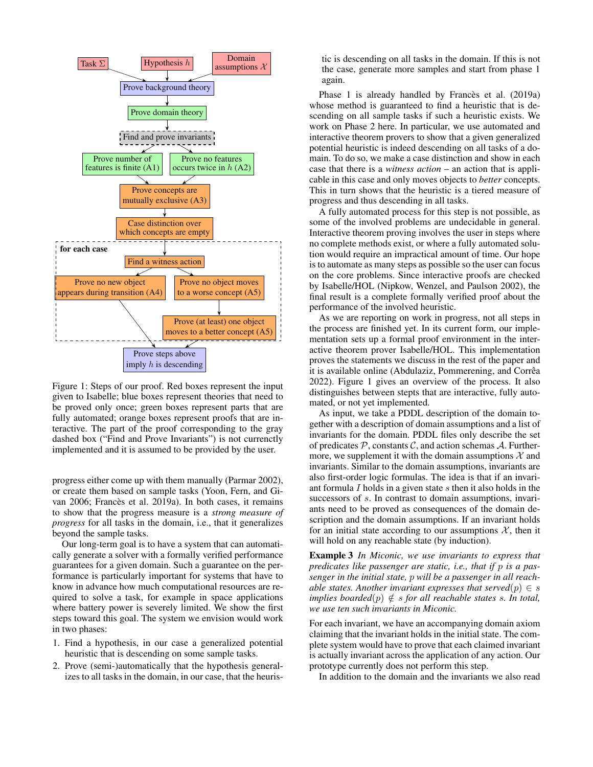

Figure 1: Steps of our proof. Red boxes represent the input given to Isabelle; blue boxes represent theories that need to be proved only once; green boxes represent parts that are fully automated; orange boxes represent proofs that are interactive. The part of the proof corresponding to the gray dashed box ("Find and Prove Invariants") is not currenctly implemented and it is assumed to be provided by the user.

progress either come up with them manually (Parmar 2002), or create them based on sample tasks (Yoon, Fern, and Givan 2006; Francès et al. 2019a). In both cases, it remains to show that the progress measure is a *strong measure of progress* for all tasks in the domain, i.e., that it generalizes beyond the sample tasks.

Our long-term goal is to have a system that can automatically generate a solver with a formally verified performance guarantees for a given domain. Such a guarantee on the performance is particularly important for systems that have to know in advance how much computational resources are required to solve a task, for example in space applications where battery power is severely limited. We show the first steps toward this goal. The system we envision would work in two phases:

- 1. Find a hypothesis, in our case a generalized potential heuristic that is descending on some sample tasks.
- 2. Prove (semi-)automatically that the hypothesis generalizes to all tasks in the domain, in our case, that the heuris-

tic is descending on all tasks in the domain. If this is not the case, generate more samples and start from phase 1 again.

Phase 1 is already handled by Francès et al. (2019a) whose method is guaranteed to find a heuristic that is descending on all sample tasks if such a heuristic exists. We work on Phase 2 here. In particular, we use automated and interactive theorem provers to show that a given generalized potential heuristic is indeed descending on all tasks of a domain. To do so, we make a case distinction and show in each case that there is a *witness action* – an action that is applicable in this case and only moves objects to *better* concepts. This in turn shows that the heuristic is a tiered measure of progress and thus descending in all tasks.

A fully automated process for this step is not possible, as some of the involved problems are undecidable in general. Interactive theorem proving involves the user in steps where no complete methods exist, or where a fully automated solution would require an impractical amount of time. Our hope is to automate as many steps as possible so the user can focus on the core problems. Since interactive proofs are checked by Isabelle/HOL (Nipkow, Wenzel, and Paulson 2002), the final result is a complete formally verified proof about the performance of the involved heuristic.

As we are reporting on work in progress, not all steps in the process are finished yet. In its current form, our implementation sets up a formal proof environment in the interactive theorem prover Isabelle/HOL. This implementation proves the statements we discuss in the rest of the paper and it is available online (Abdulaziz, Pommerening, and Corrêa 2022). Figure 1 gives an overview of the process. It also distinguishes between stepts that are interactive, fully automated, or not yet implemented.

As input, we take a PDDL description of the domain together with a description of domain assumptions and a list of invariants for the domain. PDDL files only describe the set of predicates  $P$ , constants  $C$ , and action schemas  $A$ . Furthermore, we supplement it with the domain assumptions  $\mathcal X$  and invariants. Similar to the domain assumptions, invariants are also first-order logic formulas. The idea is that if an invariant formula I holds in a given state s then it also holds in the successors of s. In contrast to domain assumptions, invariants need to be proved as consequences of the domain description and the domain assumptions. If an invariant holds for an initial state according to our assumptions  $\mathcal{X}$ , then it will hold on any reachable state (by induction).

Example 3 *In Miconic, we use invariants to express that predicates like passenger are static, i.e., that if* p *is a passenger in the initial state,* p *will be a passenger in all reachable states. Another invariant expresses that served* $(p) \in s$ *implies boarded* $(p) \notin s$  *for all reachable states s. In total, we use ten such invariants in Miconic.*

For each invariant, we have an accompanying domain axiom claiming that the invariant holds in the initial state. The complete system would have to prove that each claimed invariant is actually invariant across the application of any action. Our prototype currently does not perform this step.

In addition to the domain and the invariants we also read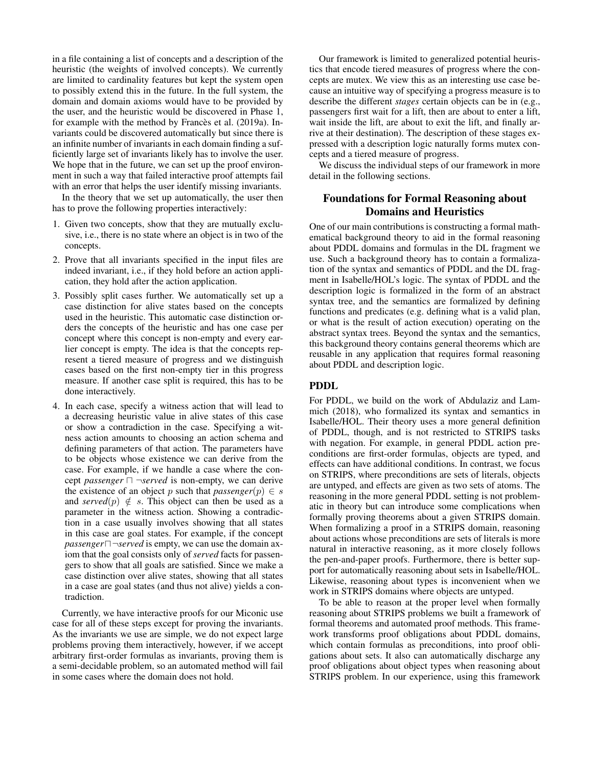in a file containing a list of concepts and a description of the heuristic (the weights of involved concepts). We currently are limited to cardinality features but kept the system open to possibly extend this in the future. In the full system, the domain and domain axioms would have to be provided by the user, and the heuristic would be discovered in Phase 1, for example with the method by Francès et al. (2019a). Invariants could be discovered automatically but since there is an infinite number of invariants in each domain finding a sufficiently large set of invariants likely has to involve the user. We hope that in the future, we can set up the proof environment in such a way that failed interactive proof attempts fail with an error that helps the user identify missing invariants.

In the theory that we set up automatically, the user then has to prove the following properties interactively:

- 1. Given two concepts, show that they are mutually exclusive, i.e., there is no state where an object is in two of the concepts.
- 2. Prove that all invariants specified in the input files are indeed invariant, i.e., if they hold before an action application, they hold after the action application.
- 3. Possibly split cases further. We automatically set up a case distinction for alive states based on the concepts used in the heuristic. This automatic case distinction orders the concepts of the heuristic and has one case per concept where this concept is non-empty and every earlier concept is empty. The idea is that the concepts represent a tiered measure of progress and we distinguish cases based on the first non-empty tier in this progress measure. If another case split is required, this has to be done interactively.
- 4. In each case, specify a witness action that will lead to a decreasing heuristic value in alive states of this case or show a contradiction in the case. Specifying a witness action amounts to choosing an action schema and defining parameters of that action. The parameters have to be objects whose existence we can derive from the case. For example, if we handle a case where the concept *passenger*  $\Box$   $\neg$ *served* is non-empty, we can derive the existence of an object p such that  $passer(p) \in s$ and *served*(p)  $\notin$  s. This object can then be used as a parameter in the witness action. Showing a contradiction in a case usually involves showing that all states in this case are goal states. For example, if the concept *passenger* $\Box$   $\neg$ *served* is empty, we can use the domain axiom that the goal consists only of *served* facts for passengers to show that all goals are satisfied. Since we make a case distinction over alive states, showing that all states in a case are goal states (and thus not alive) yields a contradiction.

Currently, we have interactive proofs for our Miconic use case for all of these steps except for proving the invariants. As the invariants we use are simple, we do not expect large problems proving them interactively, however, if we accept arbitrary first-order formulas as invariants, proving them is a semi-decidable problem, so an automated method will fail in some cases where the domain does not hold.

Our framework is limited to generalized potential heuristics that encode tiered measures of progress where the concepts are mutex. We view this as an interesting use case because an intuitive way of specifying a progress measure is to describe the different *stages* certain objects can be in (e.g., passengers first wait for a lift, then are about to enter a lift, wait inside the lift, are about to exit the lift, and finally arrive at their destination). The description of these stages expressed with a description logic naturally forms mutex concepts and a tiered measure of progress.

We discuss the individual steps of our framework in more detail in the following sections.

## Foundations for Formal Reasoning about Domains and Heuristics

One of our main contributions is constructing a formal mathematical background theory to aid in the formal reasoning about PDDL domains and formulas in the DL fragment we use. Such a background theory has to contain a formalization of the syntax and semantics of PDDL and the DL fragment in Isabelle/HOL's logic. The syntax of PDDL and the description logic is formalized in the form of an abstract syntax tree, and the semantics are formalized by defining functions and predicates (e.g. defining what is a valid plan, or what is the result of action execution) operating on the abstract syntax trees. Beyond the syntax and the semantics, this background theory contains general theorems which are reusable in any application that requires formal reasoning about PDDL and description logic.

### PDDL

For PDDL, we build on the work of Abdulaziz and Lammich (2018), who formalized its syntax and semantics in Isabelle/HOL. Their theory uses a more general definition of PDDL, though, and is not restricted to STRIPS tasks with negation. For example, in general PDDL action preconditions are first-order formulas, objects are typed, and effects can have additional conditions. In contrast, we focus on STRIPS, where preconditions are sets of literals, objects are untyped, and effects are given as two sets of atoms. The reasoning in the more general PDDL setting is not problematic in theory but can introduce some complications when formally proving theorems about a given STRIPS domain. When formalizing a proof in a STRIPS domain, reasoning about actions whose preconditions are sets of literals is more natural in interactive reasoning, as it more closely follows the pen-and-paper proofs. Furthermore, there is better support for automatically reasoning about sets in Isabelle/HOL. Likewise, reasoning about types is inconvenient when we work in STRIPS domains where objects are untyped.

To be able to reason at the proper level when formally reasoning about STRIPS problems we built a framework of formal theorems and automated proof methods. This framework transforms proof obligations about PDDL domains, which contain formulas as preconditions, into proof obligations about sets. It also can automatically discharge any proof obligations about object types when reasoning about STRIPS problem. In our experience, using this framework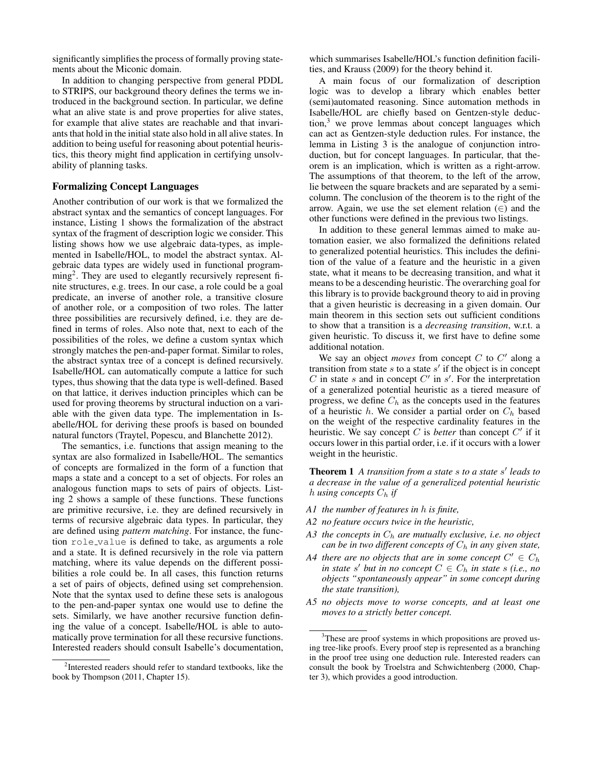significantly simplifies the process of formally proving statements about the Miconic domain.

In addition to changing perspective from general PDDL to STRIPS, our background theory defines the terms we introduced in the background section. In particular, we define what an alive state is and prove properties for alive states, for example that alive states are reachable and that invariants that hold in the initial state also hold in all alive states. In addition to being useful for reasoning about potential heuristics, this theory might find application in certifying unsolvability of planning tasks.

### Formalizing Concept Languages

Another contribution of our work is that we formalized the abstract syntax and the semantics of concept languages. For instance, Listing 1 shows the formalization of the abstract syntax of the fragment of description logic we consider. This listing shows how we use algebraic data-types, as implemented in Isabelle/HOL, to model the abstract syntax. Algebraic data types are widely used in functional programming<sup>2</sup>. They are used to elegantly recursively represent finite structures, e.g. trees. In our case, a role could be a goal predicate, an inverse of another role, a transitive closure of another role, or a composition of two roles. The latter three possibilities are recursively defined, i.e. they are defined in terms of roles. Also note that, next to each of the possibilities of the roles, we define a custom syntax which strongly matches the pen-and-paper format. Similar to roles, the abstract syntax tree of a concept is defined recursively. Isabelle/HOL can automatically compute a lattice for such types, thus showing that the data type is well-defined. Based on that lattice, it derives induction principles which can be used for proving theorems by structural induction on a variable with the given data type. The implementation in Isabelle/HOL for deriving these proofs is based on bounded natural functors (Traytel, Popescu, and Blanchette 2012).

The semantics, i.e. functions that assign meaning to the syntax are also formalized in Isabelle/HOL. The semantics of concepts are formalized in the form of a function that maps a state and a concept to a set of objects. For roles an analogous function maps to sets of pairs of objects. Listing 2 shows a sample of these functions. These functions are primitive recursive, i.e. they are defined recursively in terms of recursive algebraic data types. In particular, they are defined using *pattern matching*. For instance, the function role value is defined to take, as arguments a role and a state. It is defined recursively in the role via pattern matching, where its value depends on the different possibilities a role could be. In all cases, this function returns a set of pairs of objects, defined using set comprehension. Note that the syntax used to define these sets is analogous to the pen-and-paper syntax one would use to define the sets. Similarly, we have another recursive function defining the value of a concept. Isabelle/HOL is able to automatically prove termination for all these recursive functions. Interested readers should consult Isabelle's documentation, which summarises Isabelle/HOL's function definition facilities, and Krauss (2009) for the theory behind it.

A main focus of our formalization of description logic was to develop a library which enables better (semi)automated reasoning. Since automation methods in Isabelle/HOL are chiefly based on Gentzen-style deduc- $\text{tion}^3$  we prove lemmas about concept languages which can act as Gentzen-style deduction rules. For instance, the lemma in Listing 3 is the analogue of conjunction introduction, but for concept languages. In particular, that theorem is an implication, which is written as a right-arrow. The assumptions of that theorem, to the left of the arrow, lie between the square brackets and are separated by a semicolumn. The conclusion of the theorem is to the right of the arrow. Again, we use the set element relation  $(∈)$  and the other functions were defined in the previous two listings.

In addition to these general lemmas aimed to make automation easier, we also formalized the definitions related to generalized potential heuristics. This includes the definition of the value of a feature and the heuristic in a given state, what it means to be decreasing transition, and what it means to be a descending heuristic. The overarching goal for this library is to provide background theory to aid in proving that a given heuristic is decreasing in a given domain. Our main theorem in this section sets out sufficient conditions to show that a transition is a *decreasing transition*, w.r.t. a given heuristic. To discuss it, we first have to define some additional notation.

We say an object *moves* from concept  $C$  to  $C'$  along a transition from state  $s$  to a state  $s'$  if the object is in concept  $C$  in state  $s$  and in concept  $C'$  in  $s'$ . For the interpretation of a generalized potential heuristic as a tiered measure of progress, we define  $C_h$  as the concepts used in the features of a heuristic h. We consider a partial order on  $C_h$  based on the weight of the respective cardinality features in the heuristic. We say concept  $C$  is *better* than concept  $C'$  if it occurs lower in this partial order, i.e. if it occurs with a lower weight in the heuristic.

Theorem 1 *A transition from a state* s *to a state* s 0 *leads to a decrease in the value of a generalized potential heuristic* h *using concepts*  $C_h$  *if* 

- *A1 the number of features in* h *is finite,*
- *A2 no feature occurs twice in the heuristic,*
- A3 the concepts in  $C_h$  are mutually exclusive, i.e. no object *can be in two different concepts of*  $C_h$  *in any given state,*
- A4 there are no objects that are in some concept  $C' \in C_h$ *in state* s' *but in no concept*  $C \in C_h$  *in state* s *(i.e., no objects "spontaneously appear" in some concept during the state transition),*
- *A5 no objects move to worse concepts, and at least one moves to a strictly better concept.*

<sup>&</sup>lt;sup>2</sup>Interested readers should refer to standard textbooks, like the book by Thompson (2011, Chapter 15).

<sup>&</sup>lt;sup>3</sup>These are proof systems in which propositions are proved using tree-like proofs. Every proof step is represented as a branching in the proof tree using one deduction rule. Interested readers can consult the book by Troelstra and Schwichtenberg (2000, Chapter 3), which provides a good introduction.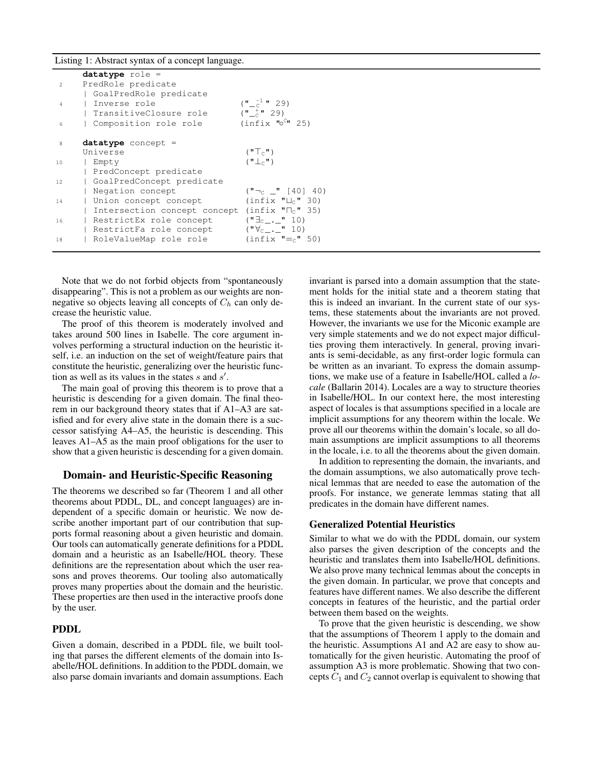Listing 1: Abstract syntax of a concept language.

|                | $datatype role =$            |                                                       |
|----------------|------------------------------|-------------------------------------------------------|
| $\overline{2}$ | PredRole predicate           |                                                       |
|                | GoalPredRole predicate       |                                                       |
| 4              | Inverse role                 | $(\sqrt{\pi} - \frac{1}{c} \sqrt{\pi} - 29)$          |
|                | TransitiveClosure role       | $(\frac{1}{2} - \frac{1}{2})$                         |
| 6              | Composition role role        | (intix "o <sup>C</sup> " 25)                          |
| 8              | $datatype$ concept =         |                                                       |
|                | Universe                     | $(\mathbf{T}_{\cap}\mathbf{T}_{\cap}\mathbf{H})$      |
| 10             | Empty                        | $(\mathbb{T} \perp_{\cap} \mathbb{T})$                |
|                | PredConcept predicate        |                                                       |
| 12.            | GoalPredConcept predicate    |                                                       |
|                | Negation concept             | $(\mathbf{H} - c \mathbf{H} [40] 40)$                 |
| 14             | Union concept concept        | (intix "L <sub>c</sub> " 30)                          |
|                | Intersection concept concept | (intix "n <sub>c</sub> " 35)                          |
| 16             | RestrictEx role concept      | $(\mathbf{H} \equiv_{c} \ \cdot \ \mathbf{H} \ \ 10)$ |
|                | RestrictFa role concept      | $(\sqrt[m]{c_{-}} \cdot \sqrt[m]{c_{-}} \cdot 10)$    |
| 18             | RoleValueMap role role       | $(intix " = c" 50)$                                   |

Note that we do not forbid objects from "spontaneously disappearing". This is not a problem as our weights are nonnegative so objects leaving all concepts of  $C_h$  can only decrease the heuristic value.

The proof of this theorem is moderately involved and takes around 500 lines in Isabelle. The core argument involves performing a structural induction on the heuristic itself, i.e. an induction on the set of weight/feature pairs that constitute the heuristic, generalizing over the heuristic function as well as its values in the states  $s$  and  $s'$ .

The main goal of proving this theorem is to prove that a heuristic is descending for a given domain. The final theorem in our background theory states that if A1–A3 are satisfied and for every alive state in the domain there is a successor satisfying A4–A5, the heuristic is descending. This leaves A1–A5 as the main proof obligations for the user to show that a given heuristic is descending for a given domain.

#### Domain- and Heuristic-Specific Reasoning

The theorems we described so far (Theorem 1 and all other theorems about PDDL, DL, and concept languages) are independent of a specific domain or heuristic. We now describe another important part of our contribution that supports formal reasoning about a given heuristic and domain. Our tools can automatically generate definitions for a PDDL domain and a heuristic as an Isabelle/HOL theory. These definitions are the representation about which the user reasons and proves theorems. Our tooling also automatically proves many properties about the domain and the heuristic. These properties are then used in the interactive proofs done by the user.

### PDDL

Given a domain, described in a PDDL file, we built tooling that parses the different elements of the domain into Isabelle/HOL definitions. In addition to the PDDL domain, we also parse domain invariants and domain assumptions. Each invariant is parsed into a domain assumption that the statement holds for the initial state and a theorem stating that this is indeed an invariant. In the current state of our systems, these statements about the invariants are not proved. However, the invariants we use for the Miconic example are very simple statements and we do not expect major difficulties proving them interactively. In general, proving invariants is semi-decidable, as any first-order logic formula can be written as an invariant. To express the domain assumptions, we make use of a feature in Isabelle/HOL called a *locale* (Ballarin 2014). Locales are a way to structure theories in Isabelle/HOL. In our context here, the most interesting aspect of locales is that assumptions specified in a locale are implicit assumptions for any theorem within the locale. We prove all our theorems within the domain's locale, so all domain assumptions are implicit assumptions to all theorems in the locale, i.e. to all the theorems about the given domain.

In addition to representing the domain, the invariants, and the domain assumptions, we also automatically prove technical lemmas that are needed to ease the automation of the proofs. For instance, we generate lemmas stating that all predicates in the domain have different names.

#### Generalized Potential Heuristics

Similar to what we do with the PDDL domain, our system also parses the given description of the concepts and the heuristic and translates them into Isabelle/HOL definitions. We also prove many technical lemmas about the concepts in the given domain. In particular, we prove that concepts and features have different names. We also describe the different concepts in features of the heuristic, and the partial order between them based on the weights.

To prove that the given heuristic is descending, we show that the assumptions of Theorem 1 apply to the domain and the heuristic. Assumptions A1 and A2 are easy to show automatically for the given heuristic. Automating the proof of assumption A3 is more problematic. Showing that two concepts  $C_1$  and  $C_2$  cannot overlap is equivalent to showing that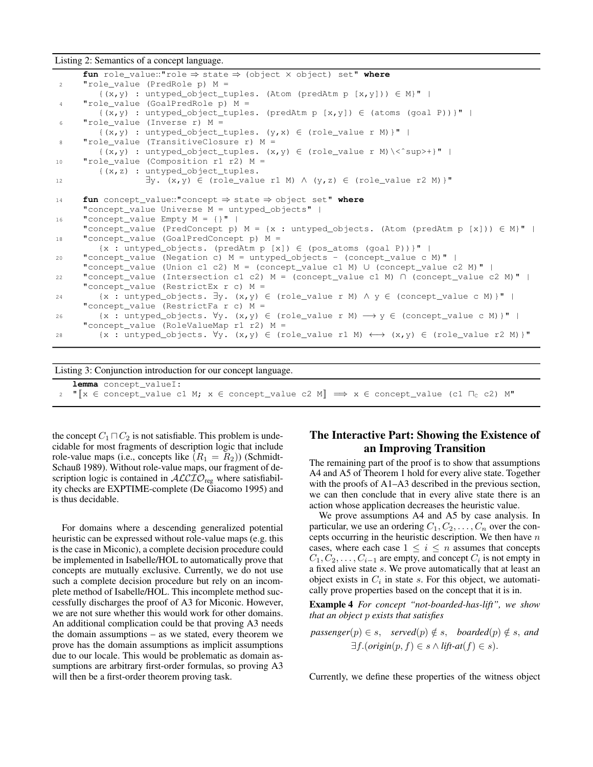Listing 2: Semantics of a concept language.

```
fun role_value::"role ⇒ state ⇒ (object × object) set" where
2 "role_value (PredRole p) M =
        \{(x,y) : untyped_object_tuples. (Atom (predAtm p [x,y])) \in M<sup>"</sup> |
4 "role_value (GoalPredRole p) M =
        \{(x,y) : untyped_object_tuples. (predAtm p [x,y]) \in (atoms (goal P))}" |
6 "role_value (Inverse r) M =
        \{(x,y) : untyped\_object\_tuples. (y,x) \in (role_value r M) \}" |
8 "role_value (TransitiveClosure r) M =
       \{(x,y) : untyped_object_tuples. (x,y) \in (role_value r M)\ < sup>+}" |
10 "role_value (Composition r1 r2) M =
        {(x,z) : untyped_object_tuples.
12 \exists y. (x, y) \in (role_value r1 M) \land (y, z) \in (role_value r2 M)14 fun concept_value::"concept ⇒ state ⇒ object set" where
     "concept_value Universe M = untyped_objects" |
16 "concept_value Empty M = \{\}" |
     "concept_value (PredConcept p) M = \{x : untyped\_objects. (Atom (predAtm p [x])\} \in M)" |
18 "concept_value (GoalPredConcept p) M =
        {x : untyped objects. (predAtm p [x]) \in (pos\_atoms (qoal P)) } " |20 "concept_value (Negation c) M = untyped_objects - (concept_value c M)" |
     "concept_value (Union c1 c2) M = (concept_value c1 M) ∪ (concept_value c2 M)" |
22 "concept_value (Intersection c1 c2) M = (concept_value c1 M) ∩ (concept_value c2 M)" |
     "concept_value (RestrictEx r c) M =
24 {x : untyped_objects. \exists y. (x,y) \in (role_value r M) \land y \in (concept_value c M) }"
     "concept_value (RestrictFa r c) M =
26 \{x : untyped_objects. \forall y. (x, y) \in (role_value r M) \rightarrow y \in (concept_value c M) \}" |
     "concept_value (RoleValueMap r1 r2) M =
28 \{x : untyped_objects. \forall y. (x, y) \in (role_value r1 M) \longleftrightarrow (x, y) \in (role_value r2 M) \}"
```
Listing 3: Conjunction introduction for our concept language.

**lemma** concept\_valueI: 2 " $\|x \in \text{concept_value c1 M}; x \in \text{concept_value c2 M} \implies x \in \text{concept_value (c1 T<sub>c</sub> c2) M"$ 

the concept  $C_1 \sqcap C_2$  is not satisfiable. This problem is undecidable for most fragments of description logic that include role-value maps (i.e., concepts like  $(R_1 = R_2)$ ) (Schmidt-Schauß 1989). Without role-value maps, our fragment of description logic is contained in  $ALCIO<sub>reg</sub>$  where satisfiability checks are EXPTIME-complete (De Giacomo 1995) and is thus decidable.

For domains where a descending generalized potential heuristic can be expressed without role-value maps (e.g. this is the case in Miconic), a complete decision procedure could be implemented in Isabelle/HOL to automatically prove that concepts are mutually exclusive. Currently, we do not use such a complete decision procedure but rely on an incomplete method of Isabelle/HOL. This incomplete method successfully discharges the proof of A3 for Miconic. However, we are not sure whether this would work for other domains. An additional complication could be that proving A3 needs the domain assumptions – as we stated, every theorem we prove has the domain assumptions as implicit assumptions due to our locale. This would be problematic as domain assumptions are arbitrary first-order formulas, so proving A3 will then be a first-order theorem proving task.

## The Interactive Part: Showing the Existence of an Improving Transition

The remaining part of the proof is to show that assumptions A4 and A5 of Theorem 1 hold for every alive state. Together with the proofs of A1–A3 described in the previous section, we can then conclude that in every alive state there is an action whose application decreases the heuristic value.

We prove assumptions A4 and A5 by case analysis. In particular, we use an ordering  $C_1, C_2, \ldots, C_n$  over the concepts occurring in the heuristic description. We then have  $n$ cases, where each case  $1 \leq i \leq n$  assumes that concepts  $C_1, C_2, \ldots, C_{i-1}$  are empty, and concept  $C_i$  is not empty in a fixed alive state s. We prove automatically that at least an object exists in  $C_i$  in state s. For this object, we automatically prove properties based on the concept that it is in.

Example 4 *For concept "not-boarded-has-lift", we show that an object* p *exists that satisfies*

$$
passenger(p) \in s, \quad served(p) \notin s, \quad boarded(p) \notin s, \text{ and } \exists f. (origin(p, f) \in s \land lift-at(f) \in s).
$$

Currently, we define these properties of the witness object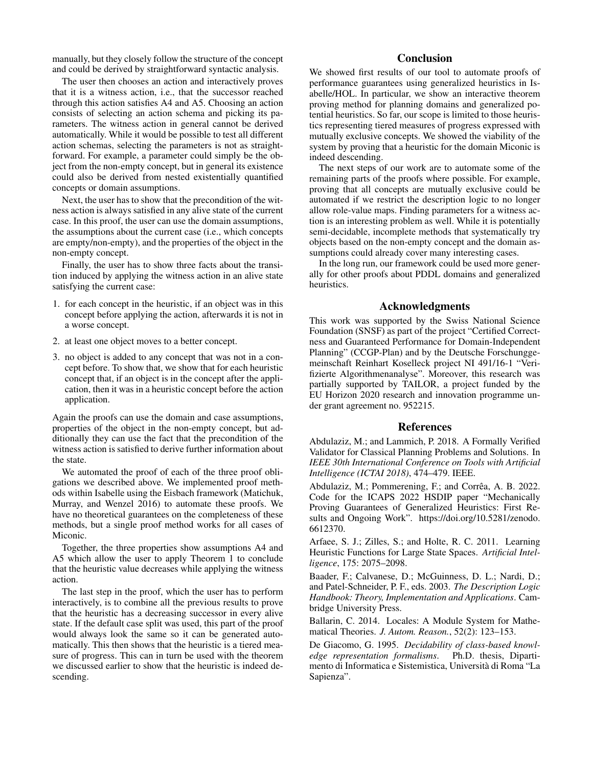manually, but they closely follow the structure of the concept and could be derived by straightforward syntactic analysis.

The user then chooses an action and interactively proves that it is a witness action, i.e., that the successor reached through this action satisfies A4 and A5. Choosing an action consists of selecting an action schema and picking its parameters. The witness action in general cannot be derived automatically. While it would be possible to test all different action schemas, selecting the parameters is not as straightforward. For example, a parameter could simply be the object from the non-empty concept, but in general its existence could also be derived from nested existentially quantified concepts or domain assumptions.

Next, the user has to show that the precondition of the witness action is always satisfied in any alive state of the current case. In this proof, the user can use the domain assumptions, the assumptions about the current case (i.e., which concepts are empty/non-empty), and the properties of the object in the non-empty concept.

Finally, the user has to show three facts about the transition induced by applying the witness action in an alive state satisfying the current case:

- 1. for each concept in the heuristic, if an object was in this concept before applying the action, afterwards it is not in a worse concept.
- 2. at least one object moves to a better concept.
- 3. no object is added to any concept that was not in a concept before. To show that, we show that for each heuristic concept that, if an object is in the concept after the application, then it was in a heuristic concept before the action application.

Again the proofs can use the domain and case assumptions, properties of the object in the non-empty concept, but additionally they can use the fact that the precondition of the witness action is satisfied to derive further information about the state.

We automated the proof of each of the three proof obligations we described above. We implemented proof methods within Isabelle using the Eisbach framework (Matichuk, Murray, and Wenzel 2016) to automate these proofs. We have no theoretical guarantees on the completeness of these methods, but a single proof method works for all cases of Miconic.

Together, the three properties show assumptions A4 and A5 which allow the user to apply Theorem 1 to conclude that the heuristic value decreases while applying the witness action.

The last step in the proof, which the user has to perform interactively, is to combine all the previous results to prove that the heuristic has a decreasing successor in every alive state. If the default case split was used, this part of the proof would always look the same so it can be generated automatically. This then shows that the heuristic is a tiered measure of progress. This can in turn be used with the theorem we discussed earlier to show that the heuristic is indeed descending.

## **Conclusion**

We showed first results of our tool to automate proofs of performance guarantees using generalized heuristics in Isabelle/HOL. In particular, we show an interactive theorem proving method for planning domains and generalized potential heuristics. So far, our scope is limited to those heuristics representing tiered measures of progress expressed with mutually exclusive concepts. We showed the viability of the system by proving that a heuristic for the domain Miconic is indeed descending.

The next steps of our work are to automate some of the remaining parts of the proofs where possible. For example, proving that all concepts are mutually exclusive could be automated if we restrict the description logic to no longer allow role-value maps. Finding parameters for a witness action is an interesting problem as well. While it is potentially semi-decidable, incomplete methods that systematically try objects based on the non-empty concept and the domain assumptions could already cover many interesting cases.

In the long run, our framework could be used more generally for other proofs about PDDL domains and generalized heuristics.

## Acknowledgments

This work was supported by the Swiss National Science Foundation (SNSF) as part of the project "Certified Correctness and Guaranteed Performance for Domain-Independent Planning" (CCGP-Plan) and by the Deutsche Forschunggemeinschaft Reinhart Koselleck project NI 491/16-1 "Verifizierte Algorithmenanalyse". Moreover, this research was partially supported by TAILOR, a project funded by the EU Horizon 2020 research and innovation programme under grant agreement no. 952215.

#### References

Abdulaziz, M.; and Lammich, P. 2018. A Formally Verified Validator for Classical Planning Problems and Solutions. In *IEEE 30th International Conference on Tools with Artificial Intelligence (ICTAI 2018)*, 474–479. IEEE.

Abdulaziz, M.; Pommerening, F.; and Corrêa, A. B. 2022. Code for the ICAPS 2022 HSDIP paper "Mechanically Proving Guarantees of Generalized Heuristics: First Results and Ongoing Work". https://doi.org/10.5281/zenodo. 6612370.

Arfaee, S. J.; Zilles, S.; and Holte, R. C. 2011. Learning Heuristic Functions for Large State Spaces. *Artificial Intelligence*, 175: 2075–2098.

Baader, F.; Calvanese, D.; McGuinness, D. L.; Nardi, D.; and Patel-Schneider, P. F., eds. 2003. *The Description Logic Handbook: Theory, Implementation and Applications*. Cambridge University Press.

Ballarin, C. 2014. Locales: A Module System for Mathematical Theories. *J. Autom. Reason.*, 52(2): 123–153.

De Giacomo, G. 1995. *Decidability of class-based knowledge representation formalisms*. Ph.D. thesis, Dipartimento di Informatica e Sistemistica, Universita di Roma "La ` Sapienza".